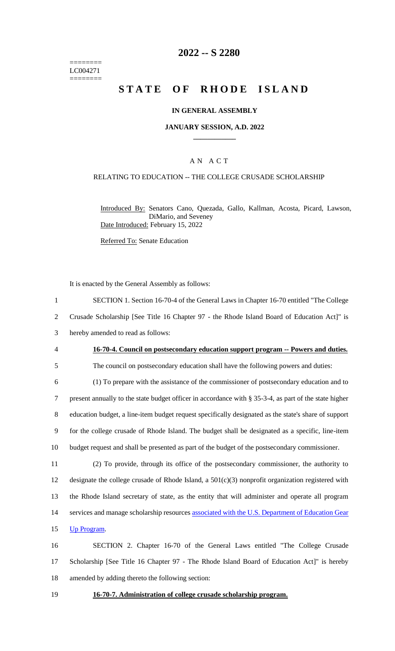======== LC004271 ========

# **2022 -- S 2280**

# **STATE OF RHODE ISLAND**

#### **IN GENERAL ASSEMBLY**

#### **JANUARY SESSION, A.D. 2022 \_\_\_\_\_\_\_\_\_\_\_\_**

### A N A C T

#### RELATING TO EDUCATION -- THE COLLEGE CRUSADE SCHOLARSHIP

Introduced By: Senators Cano, Quezada, Gallo, Kallman, Acosta, Picard, Lawson, DiMario, and Seveney Date Introduced: February 15, 2022

Referred To: Senate Education

It is enacted by the General Assembly as follows:

 SECTION 1. Section 16-70-4 of the General Laws in Chapter 16-70 entitled "The College Crusade Scholarship [See Title 16 Chapter 97 - the Rhode Island Board of Education Act]" is hereby amended to read as follows: **16-70-4. Council on postsecondary education support program -- Powers and duties.** The council on postsecondary education shall have the following powers and duties: (1) To prepare with the assistance of the commissioner of postsecondary education and to present annually to the state budget officer in accordance with § 35-3-4, as part of the state higher education budget, a line-item budget request specifically designated as the state's share of support for the college crusade of Rhode Island. The budget shall be designated as a specific, line-item budget request and shall be presented as part of the budget of the postsecondary commissioner. (2) To provide, through its office of the postsecondary commissioner, the authority to designate the college crusade of Rhode Island, a 501(c)(3) nonprofit organization registered with the Rhode Island secretary of state, as the entity that will administer and operate all program 14 services and manage scholarship resources associated with the U.S. Department of Education Gear Up Program. SECTION 2. Chapter 16-70 of the General Laws entitled "The College Crusade Scholarship [See Title 16 Chapter 97 - The Rhode Island Board of Education Act]" is hereby

18 amended by adding thereto the following section:

19 **16-70-7. Administration of college crusade scholarship program.**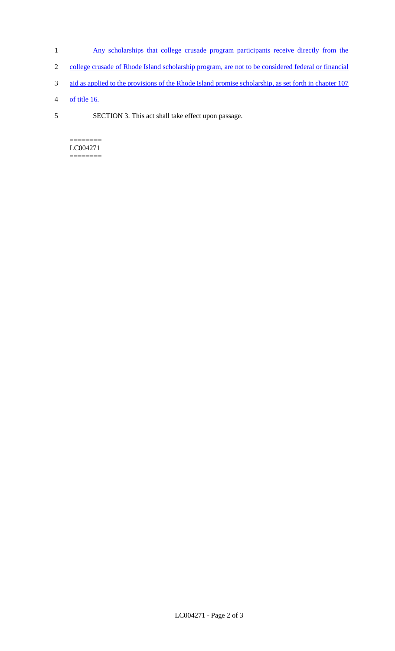- 1 Any scholarships that college crusade program participants receive directly from the
- 2 college crusade of Rhode Island scholarship program, are not to be considered federal or financial
- 3 aid as applied to the provisions of the Rhode Island promise scholarship, as set forth in chapter 107
- 4 of title 16.
- 5 SECTION 3. This act shall take effect upon passage.

======== LC004271 ========